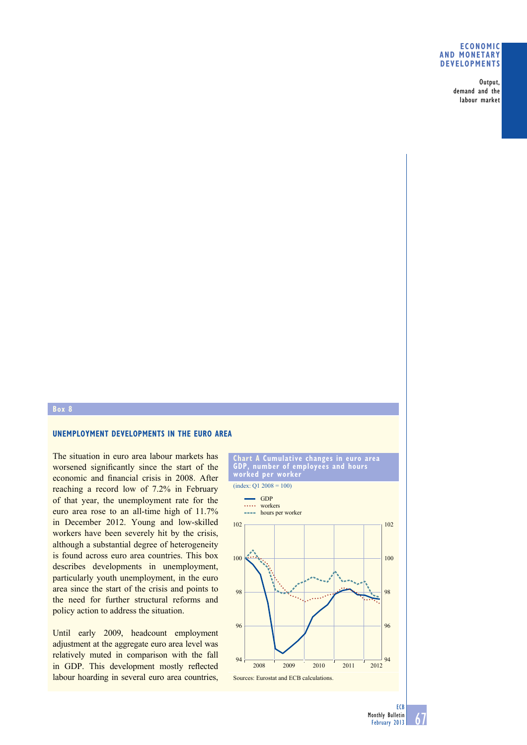## **eConomiC and monetary deVeloPmentS**

Output, demand and the labour market

## **box 8**

# **unemPloyment deVeloPmentS in the euro area**

The situation in euro area labour markets has worsened significantly since the start of the economic and financial crisis in 2008. After reaching a record low of 7.2% in February of that year, the unemployment rate for the euro area rose to an all-time high of 11.7% in December 2012. Young and low-skilled workers have been severely hit by the crisis, although a substantial degree of heterogeneity is found across euro area countries. This box describes developments in unemployment, particularly youth unemployment, in the euro area since the start of the crisis and points to the need for further structural reforms and policy action to address the situation.

Until early 2009, headcount employment adjustment at the aggregate euro area level was relatively muted in comparison with the fall in GDP. This development mostly reflected labour hoarding in several euro area countries,



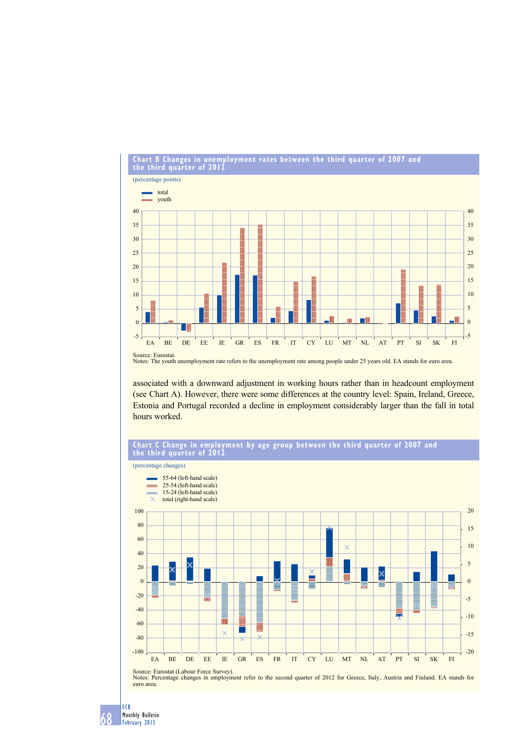

# **Chart b Changes in unemployment rates between the third quarter of 2007 and**

Notes: The youth unemployment rate refers to the unemployment rate among people under 25 years old. EA stands for euro area.

associated with a downward adjustment in working hours rather than in headcount employment (see Chart A). However, there were some differences at the country level: Spain, Ireland, Greece, Estonia and Portugal recorded a decline in employment considerably larger than the fall in total hours worked.



#### 68 ECB Monthly Bulletin February 2013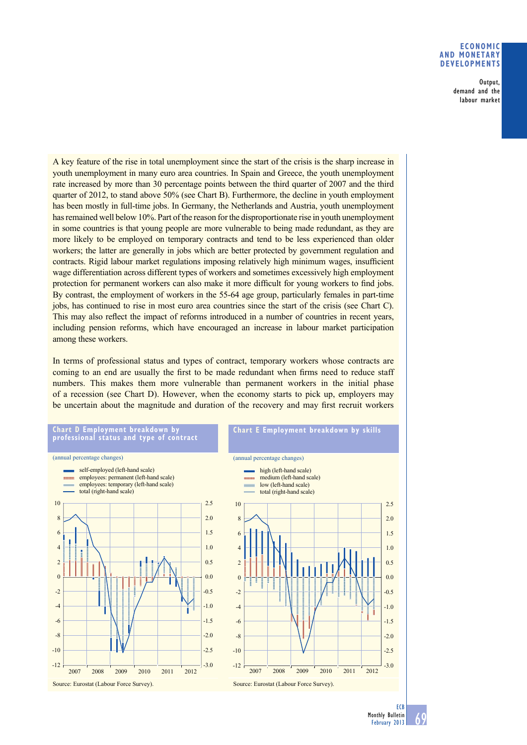## **eConomiC and monetary deVeloPmentS**

Output, demand and the labour market

A key feature of the rise in total unemployment since the start of the crisis is the sharp increase in youth unemployment in many euro area countries. In Spain and Greece, the youth unemployment rate increased by more than 30 percentage points between the third quarter of 2007 and the third quarter of 2012, to stand above 50% (see Chart B). Furthermore, the decline in youth employment has been mostly in full-time jobs. In Germany, the Netherlands and Austria, youth unemployment has remained well below 10%. Part of the reason for the disproportionate rise in youth unemployment in some countries is that young people are more vulnerable to being made redundant, as they are more likely to be employed on temporary contracts and tend to be less experienced than older workers; the latter are generally in jobs which are better protected by government regulation and contracts. Rigid labour market regulations imposing relatively high minimum wages, insufficient wage differentiation across different types of workers and sometimes excessively high employment protection for permanent workers can also make it more difficult for young workers to find jobs. By contrast, the employment of workers in the 55-64 age group, particularly females in part-time jobs, has continued to rise in most euro area countries since the start of the crisis (see Chart C). This may also reflect the impact of reforms introduced in a number of countries in recent years, including pension reforms, which have encouraged an increase in labour market participation among these workers.

In terms of professional status and types of contract, temporary workers whose contracts are coming to an end are usually the first to be made redundant when firms need to reduce staff numbers. This makes them more vulnerable than permanent workers in the initial phase of a recession (see Chart D). However, when the economy starts to pick up, employers may be uncertain about the magnitude and duration of the recovery and may first recruit workers

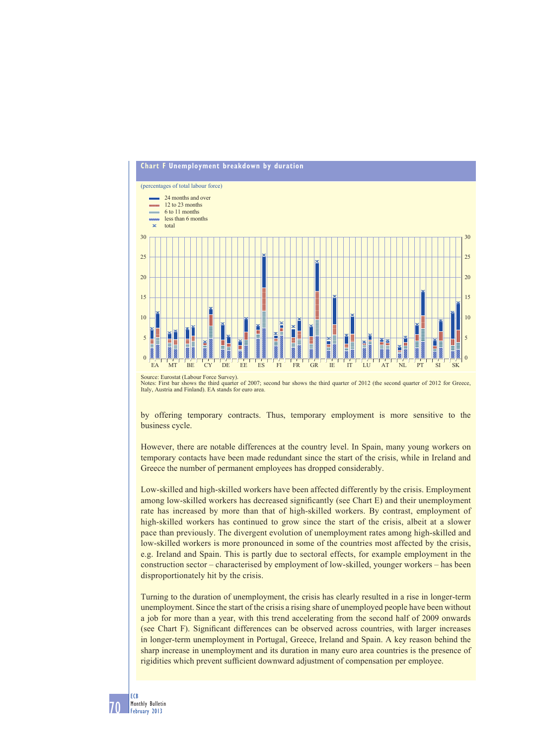

Source: Eurostat (Labour Force Survey).

Notes: First bar shows the third quarter of 2007; second bar shows the third quarter of 2012 (the second quarter of 2012 for Greece, Italy, Austria and Finland). EA stands for euro area.

by offering temporary contracts. Thus, temporary employment is more sensitive to the business cycle.

However, there are notable differences at the country level. In Spain, many young workers on temporary contacts have been made redundant since the start of the crisis, while in Ireland and Greece the number of permanent employees has dropped considerably.

Low-skilled and high-skilled workers have been affected differently by the crisis. Employment among low-skilled workers has decreased significantly (see Chart E) and their unemployment rate has increased by more than that of high-skilled workers. By contrast, employment of high-skilled workers has continued to grow since the start of the crisis, albeit at a slower pace than previously. The divergent evolution of unemployment rates among high-skilled and low-skilled workers is more pronounced in some of the countries most affected by the crisis, e.g. Ireland and Spain. This is partly due to sectoral effects, for example employment in the construction sector – characterised by employment of low-skilled, younger workers – has been disproportionately hit by the crisis.

Turning to the duration of unemployment, the crisis has clearly resulted in a rise in longer-term unemployment. Since the start of the crisis a rising share of unemployed people have been without a job for more than a year, with this trend accelerating from the second half of 2009 onwards (see Chart F). Significant differences can be observed across countries, with larger increases in longer-term unemployment in Portugal, Greece, Ireland and Spain. A key reason behind the sharp increase in unemployment and its duration in many euro area countries is the presence of rigidities which prevent sufficient downward adjustment of compensation per employee.

70 ECB Monthly Bulletin February 2013